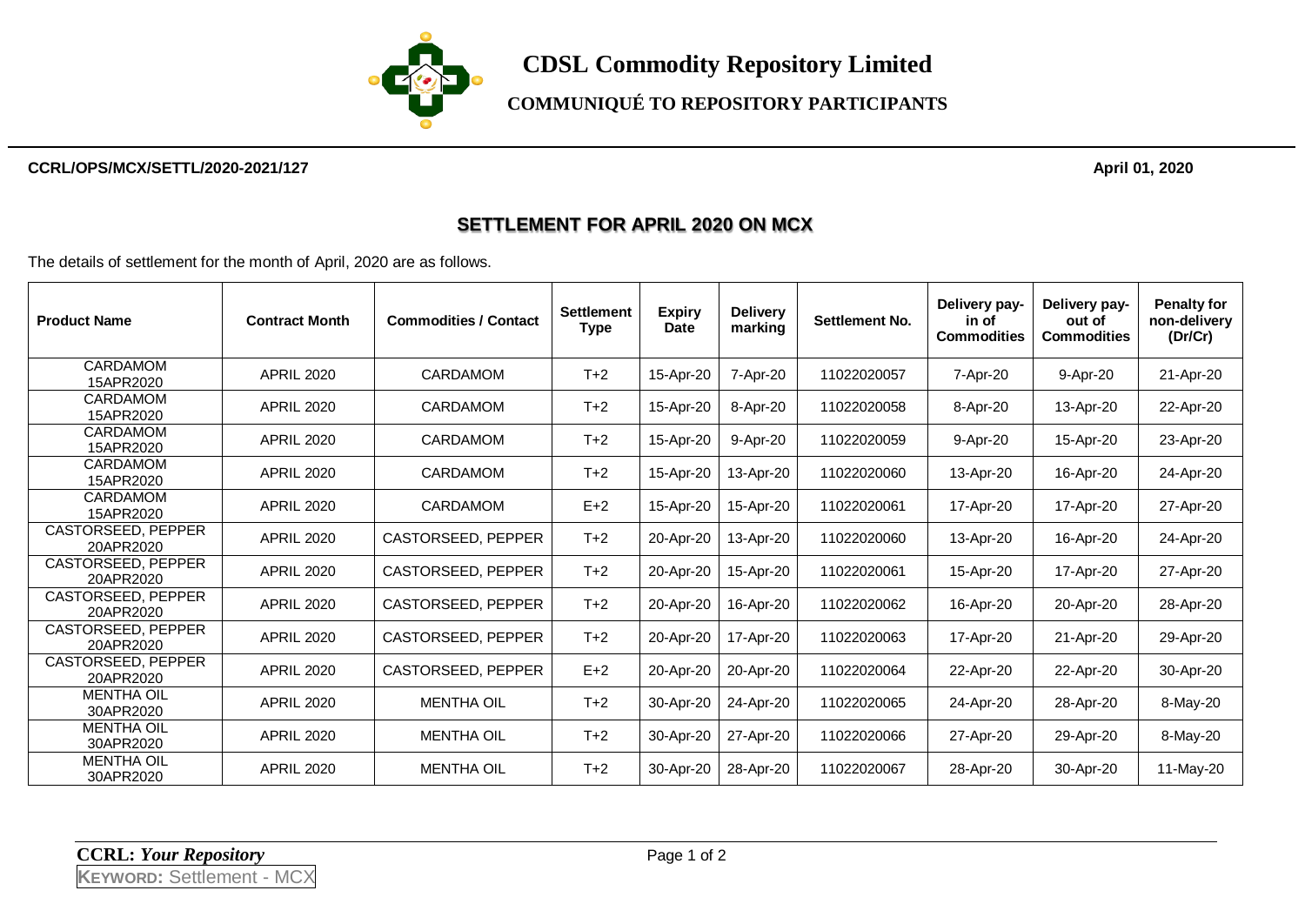

## **COMMUNIQUÉ TO REPOSITORY PARTICIPANTS**

#### **CCRL/OPS/MCX/SETTL/2020-2021/127 April 01, 2020**

### **SETTLEMENT FOR APRIL 2020 ON MCX**

The details of settlement for the month of April, 2020 are as follows.

| <b>Product Name</b>                    | <b>Contract Month</b> | <b>Commodities / Contact</b> | <b>Settlement</b><br><b>Type</b> | <b>Expiry</b><br><b>Date</b> | <b>Delivery</b><br>marking | <b>Settlement No.</b> | Delivery pay-<br>in of<br><b>Commodities</b> | Delivery pay-<br>out of<br><b>Commodities</b> | <b>Penalty for</b><br>non-delivery<br>(Dr/Cr) |
|----------------------------------------|-----------------------|------------------------------|----------------------------------|------------------------------|----------------------------|-----------------------|----------------------------------------------|-----------------------------------------------|-----------------------------------------------|
| CARDAMOM<br>15APR2020                  | <b>APRIL 2020</b>     | CARDAMOM                     | $T+2$                            | 15-Apr-20                    | 7-Apr-20                   | 11022020057           | 7-Apr-20                                     | 9-Apr-20                                      | 21-Apr-20                                     |
| CARDAMOM<br>15APR2020                  | <b>APRIL 2020</b>     | <b>CARDAMOM</b>              | $T+2$                            | 15-Apr-20                    | 8-Apr-20                   | 11022020058           | 8-Apr-20                                     | 13-Apr-20                                     | 22-Apr-20                                     |
| <b>CARDAMOM</b><br>15APR2020           | <b>APRIL 2020</b>     | CARDAMOM                     | $T+2$                            | 15-Apr-20                    | 9-Apr-20                   | 11022020059           | 9-Apr-20                                     | 15-Apr-20                                     | 23-Apr-20                                     |
| CARDAMOM<br>15APR2020                  | <b>APRIL 2020</b>     | <b>CARDAMOM</b>              | $T+2$                            | 15-Apr-20                    | 13-Apr-20                  | 11022020060           | 13-Apr-20                                    | 16-Apr-20                                     | 24-Apr-20                                     |
| <b>CARDAMOM</b><br>15APR2020           | <b>APRIL 2020</b>     | CARDAMOM                     | $E+2$                            | 15-Apr-20                    | 15-Apr-20                  | 11022020061           | 17-Apr-20                                    | 17-Apr-20                                     | 27-Apr-20                                     |
| <b>CASTORSEED, PEPPER</b><br>20APR2020 | <b>APRIL 2020</b>     | CASTORSEED, PEPPER           | $T+2$                            | 20-Apr-20                    | 13-Apr-20                  | 11022020060           | 13-Apr-20                                    | 16-Apr-20                                     | 24-Apr-20                                     |
| CASTORSEED, PEPPER<br>20APR2020        | <b>APRIL 2020</b>     | CASTORSEED, PEPPER           | $T+2$                            | 20-Apr-20                    | 15-Apr-20                  | 11022020061           | 15-Apr-20                                    | 17-Apr-20                                     | 27-Apr-20                                     |
| <b>CASTORSEED, PEPPER</b><br>20APR2020 | <b>APRIL 2020</b>     | CASTORSEED, PEPPER           | $T+2$                            | 20-Apr-20                    | 16-Apr-20                  | 11022020062           | 16-Apr-20                                    | 20-Apr-20                                     | 28-Apr-20                                     |
| <b>CASTORSEED, PEPPER</b><br>20APR2020 | <b>APRIL 2020</b>     | CASTORSEED, PEPPER           | $T+2$                            | 20-Apr-20                    | 17-Apr-20                  | 11022020063           | 17-Apr-20                                    | 21-Apr-20                                     | 29-Apr-20                                     |
| <b>CASTORSEED, PEPPER</b><br>20APR2020 | <b>APRIL 2020</b>     | CASTORSEED, PEPPER           | $E+2$                            | 20-Apr-20                    | 20-Apr-20                  | 11022020064           | 22-Apr-20                                    | 22-Apr-20                                     | 30-Apr-20                                     |
| <b>MENTHA OIL</b><br>30APR2020         | <b>APRIL 2020</b>     | <b>MENTHA OIL</b>            | $T+2$                            | 30-Apr-20                    | 24-Apr-20                  | 11022020065           | 24-Apr-20                                    | 28-Apr-20                                     | 8-May-20                                      |
| <b>MENTHA OIL</b><br>30APR2020         | <b>APRIL 2020</b>     | <b>MENTHA OIL</b>            | $T+2$                            | 30-Apr-20                    | 27-Apr-20                  | 11022020066           | 27-Apr-20                                    | 29-Apr-20                                     | 8-May-20                                      |
| <b>MENTHA OIL</b><br>30APR2020         | <b>APRIL 2020</b>     | <b>MENTHA OIL</b>            | $T+2$                            | 30-Apr-20                    | 28-Apr-20                  | 11022020067           | 28-Apr-20                                    | 30-Apr-20                                     | 11-May-20                                     |